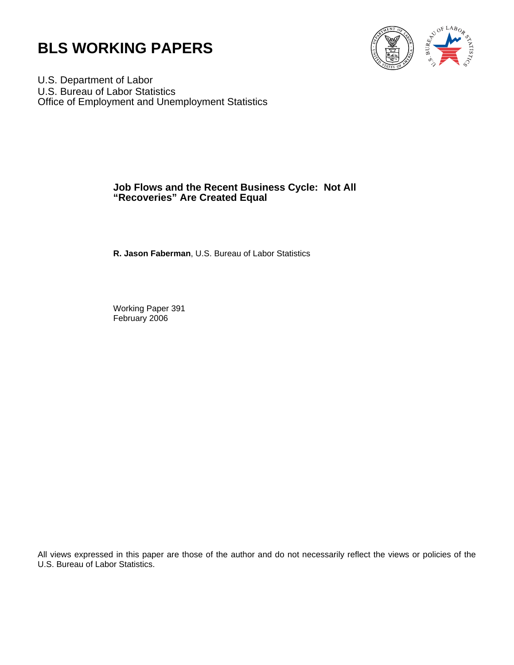



U.S. Department of Labor U.S. Bureau of Labor Statistics Office of Employment and Unemployment Statistics

# **Job Flows and the Recent Business Cycle: Not All "Recoveries" Are Created Equal**

**R. Jason Faberman**, U.S. Bureau of Labor Statistics

Working Paper 391 February 2006

All views expressed in this paper are those of the author and do not necessarily reflect the views or policies of the U.S. Bureau of Labor Statistics.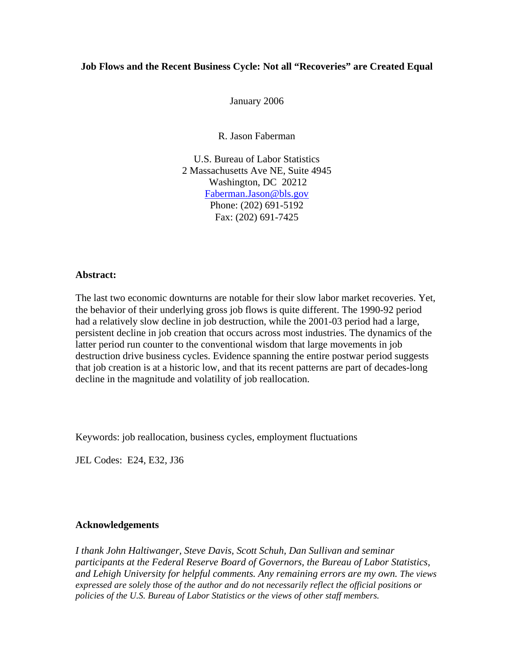## **Job Flows and the Recent Business Cycle: Not all "Recoveries" are Created Equal**

January 2006

R. Jason Faberman

U.S. Bureau of Labor Statistics 2 Massachusetts Ave NE, Suite 4945 Washington, DC 20212 [Faberman.Jason@bls.gov](mailto:Faberman.Jason@bls.gov) Phone: (202) 691-5192 Fax: (202) 691-7425

## **Abstract:**

The last two economic downturns are notable for their slow labor market recoveries. Yet, the behavior of their underlying gross job flows is quite different. The 1990-92 period had a relatively slow decline in job destruction, while the 2001-03 period had a large, persistent decline in job creation that occurs across most industries. The dynamics of the latter period run counter to the conventional wisdom that large movements in job destruction drive business cycles. Evidence spanning the entire postwar period suggests that job creation is at a historic low, and that its recent patterns are part of decades-long decline in the magnitude and volatility of job reallocation.

Keywords: job reallocation, business cycles, employment fluctuations

JEL Codes: E24, E32, J36

## **Acknowledgements**

*I thank John Haltiwanger, Steve Davis, Scott Schuh, Dan Sullivan and seminar participants at the Federal Reserve Board of Governors, the Bureau of Labor Statistics, and Lehigh University for helpful comments. Any remaining errors are my own. The views expressed are solely those of the author and do not necessarily reflect the official positions or policies of the U.S. Bureau of Labor Statistics or the views of other staff members.*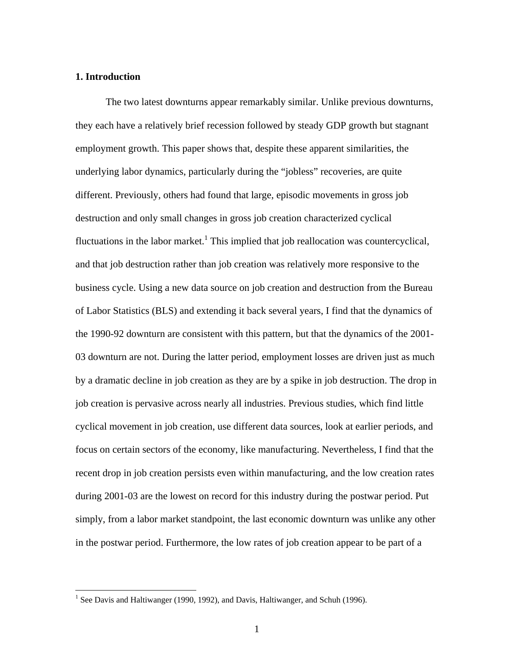# **1. Introduction**

The two latest downturns appear remarkably similar. Unlike previous downturns, they each have a relatively brief recession followed by steady GDP growth but stagnant employment growth. This paper shows that, despite these apparent similarities, the underlying labor dynamics, particularly during the "jobless" recoveries, are quite different. Previously, others had found that large, episodic movements in gross job destruction and only small changes in gross job creation characterized cyclical fluctuations in the labor market.<sup>[1](#page-2-0)</sup> This implied that job reallocation was countercyclical, and that job destruction rather than job creation was relatively more responsive to the business cycle. Using a new data source on job creation and destruction from the Bureau of Labor Statistics (BLS) and extending it back several years, I find that the dynamics of the 1990-92 downturn are consistent with this pattern, but that the dynamics of the 2001- 03 downturn are not. During the latter period, employment losses are driven just as much by a dramatic decline in job creation as they are by a spike in job destruction. The drop in job creation is pervasive across nearly all industries. Previous studies, which find little cyclical movement in job creation, use different data sources, look at earlier periods, and focus on certain sectors of the economy, like manufacturing. Nevertheless, I find that the recent drop in job creation persists even within manufacturing, and the low creation rates during 2001-03 are the lowest on record for this industry during the postwar period. Put simply, from a labor market standpoint, the last economic downturn was unlike any other in the postwar period. Furthermore, the low rates of job creation appear to be part of a

<span id="page-2-0"></span> $\frac{1}{1}$ <sup>1</sup> See Davis and Haltiwanger (1990, 1992), and Davis, Haltiwanger, and Schuh (1996).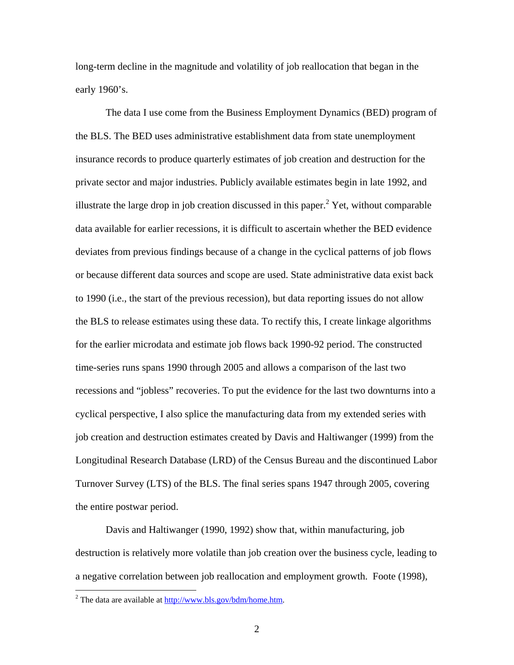long-term decline in the magnitude and volatility of job reallocation that began in the early 1960's.

The data I use come from the Business Employment Dynamics (BED) program of the BLS. The BED uses administrative establishment data from state unemployment insurance records to produce quarterly estimates of job creation and destruction for the private sector and major industries. Publicly available estimates begin in late 1992, and illustratethe large drop in job creation discussed in this paper.<sup>2</sup> Yet, without comparable data available for earlier recessions, it is difficult to ascertain whether the BED evidence deviates from previous findings because of a change in the cyclical patterns of job flows or because different data sources and scope are used. State administrative data exist back to 1990 (i.e., the start of the previous recession), but data reporting issues do not allow the BLS to release estimates using these data. To rectify this, I create linkage algorithms for the earlier microdata and estimate job flows back 1990-92 period. The constructed time-series runs spans 1990 through 2005 and allows a comparison of the last two recessions and "jobless" recoveries. To put the evidence for the last two downturns into a cyclical perspective, I also splice the manufacturing data from my extended series with job creation and destruction estimates created by Davis and Haltiwanger (1999) from the Longitudinal Research Database (LRD) of the Census Bureau and the discontinued Labor Turnover Survey (LTS) of the BLS. The final series spans 1947 through 2005, covering the entire postwar period.

Davis and Haltiwanger (1990, 1992) show that, within manufacturing, job destruction is relatively more volatile than job creation over the business cycle, leading to a negative correlation between job reallocation and employment growth. Foote (1998),

<span id="page-3-0"></span> $\frac{1}{2}$  $2^2$  The data are available at [http://www.bls.gov/bdm/home.htm.](http://www.bls.gov/bdm/home.htm)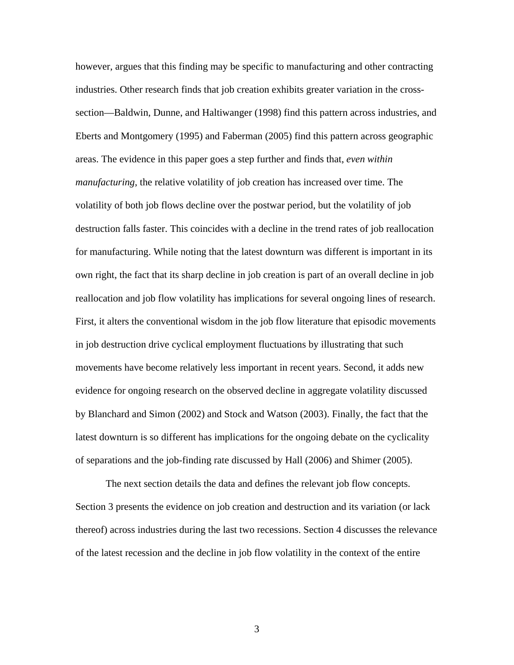however, argues that this finding may be specific to manufacturing and other contracting industries. Other research finds that job creation exhibits greater variation in the crosssection—Baldwin, Dunne, and Haltiwanger (1998) find this pattern across industries, and Eberts and Montgomery (1995) and Faberman (2005) find this pattern across geographic areas. The evidence in this paper goes a step further and finds that, *even within manufacturing*, the relative volatility of job creation has increased over time. The volatility of both job flows decline over the postwar period, but the volatility of job destruction falls faster. This coincides with a decline in the trend rates of job reallocation for manufacturing. While noting that the latest downturn was different is important in its own right, the fact that its sharp decline in job creation is part of an overall decline in job reallocation and job flow volatility has implications for several ongoing lines of research. First, it alters the conventional wisdom in the job flow literature that episodic movements in job destruction drive cyclical employment fluctuations by illustrating that such movements have become relatively less important in recent years. Second, it adds new evidence for ongoing research on the observed decline in aggregate volatility discussed by Blanchard and Simon (2002) and Stock and Watson (2003). Finally, the fact that the latest downturn is so different has implications for the ongoing debate on the cyclicality of separations and the job-finding rate discussed by Hall (2006) and Shimer (2005).

The next section details the data and defines the relevant job flow concepts. Section 3 presents the evidence on job creation and destruction and its variation (or lack thereof) across industries during the last two recessions. Section 4 discusses the relevance of the latest recession and the decline in job flow volatility in the context of the entire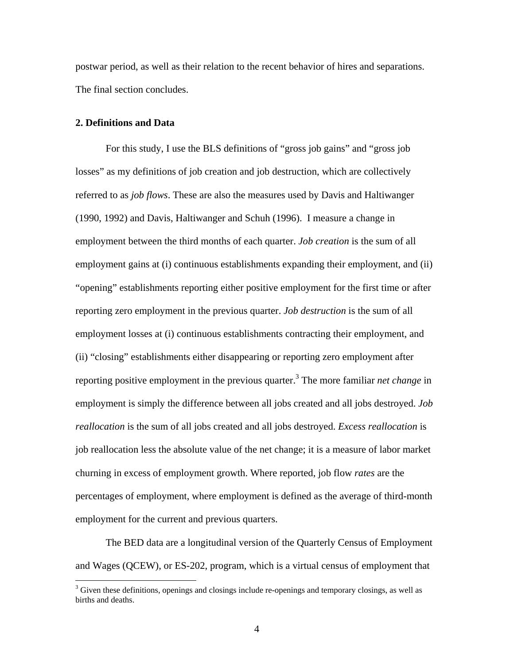postwar period, as well as their relation to the recent behavior of hires and separations. The final section concludes.

### **2. Definitions and Data**

For this study, I use the BLS definitions of "gross job gains" and "gross job losses" as my definitions of job creation and job destruction, which are collectively referred to as *job flows*. These are also the measures used by Davis and Haltiwanger (1990, 1992) and Davis, Haltiwanger and Schuh (1996). I measure a change in employment between the third months of each quarter. *Job creation* is the sum of all employment gains at (i) continuous establishments expanding their employment, and (ii) "opening" establishments reporting either positive employment for the first time or after reporting zero employment in the previous quarter. *Job destruction* is the sum of all employment losses at (i) continuous establishments contracting their employment, and (ii) "closing" establishments either disappearing or reporting zero employment after reporting positive employment in the previous quarter.<sup>[3](#page-5-0)</sup> The more familiar *net change* in employment is simply the difference between all jobs created and all jobs destroyed. *Job reallocation* is the sum of all jobs created and all jobs destroyed. *Excess reallocation* is job reallocation less the absolute value of the net change; it is a measure of labor market churning in excess of employment growth. Where reported, job flow *rates* are the percentages of employment, where employment is defined as the average of third-month employment for the current and previous quarters.

The BED data are a longitudinal version of the Quarterly Census of Employment and Wages (QCEW), or ES-202, program, which is a virtual census of employment that

<span id="page-5-0"></span> $\frac{1}{3}$ <sup>3</sup> Given these definitions, openings and closings include re-openings and temporary closings, as well as births and deaths.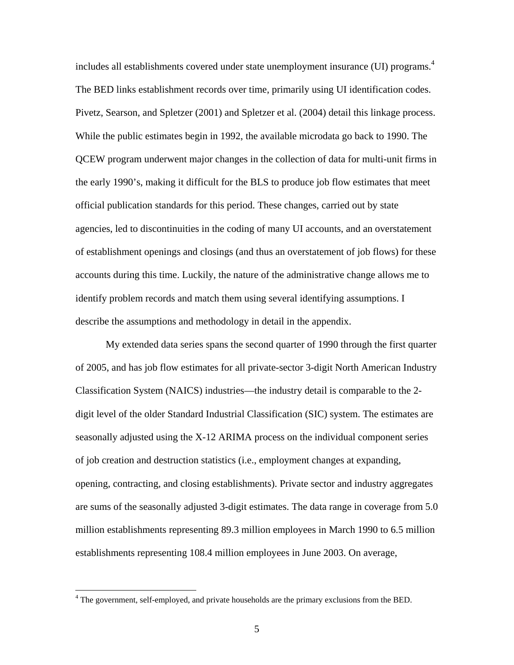includes all establishments covered under state unemployment insurance (UI) programs. [4](#page-6-0) The BED links establishment records over time, primarily using UI identification codes. Pivetz, Searson, and Spletzer (2001) and Spletzer et al. (2004) detail this linkage process. While the public estimates begin in 1992, the available microdata go back to 1990. The QCEW program underwent major changes in the collection of data for multi-unit firms in the early 1990's, making it difficult for the BLS to produce job flow estimates that meet official publication standards for this period. These changes, carried out by state agencies, led to discontinuities in the coding of many UI accounts, and an overstatement of establishment openings and closings (and thus an overstatement of job flows) for these accounts during this time. Luckily, the nature of the administrative change allows me to identify problem records and match them using several identifying assumptions. I describe the assumptions and methodology in detail in the appendix.

My extended data series spans the second quarter of 1990 through the first quarter of 2005, and has job flow estimates for all private-sector 3-digit North American Industry Classification System (NAICS) industries—the industry detail is comparable to the 2 digit level of the older Standard Industrial Classification (SIC) system. The estimates are seasonally adjusted using the X-12 ARIMA process on the individual component series of job creation and destruction statistics (i.e., employment changes at expanding, opening, contracting, and closing establishments). Private sector and industry aggregates are sums of the seasonally adjusted 3-digit estimates. The data range in coverage from 5.0 million establishments representing 89.3 million employees in March 1990 to 6.5 million establishments representing 108.4 million employees in June 2003. On average,

<span id="page-6-0"></span> $\frac{1}{4}$ <sup>4</sup> The government, self-employed, and private households are the primary exclusions from the BED.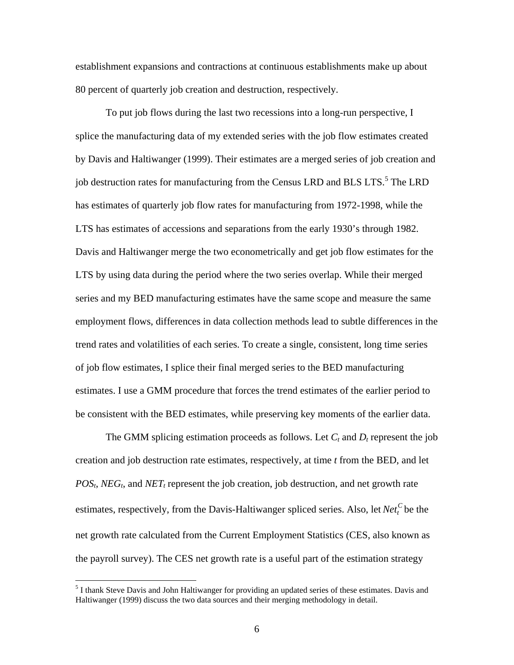establishment expansions and contractions at continuous establishments make up about 80 percent of quarterly job creation and destruction, respectively.

To put job flows during the last two recessions into a long-run perspective, I splice the manufacturing data of my extended series with the job flow estimates created by Davis and Haltiwanger (1999). Their estimates are a merged series of job creation and job destruction rates for manufacturing from the Census LRD and BLS LTS.<sup>5</sup> [T](#page-7-0)he LRD has estimates of quarterly job flow rates for manufacturing from 1972-1998, while the LTS has estimates of accessions and separations from the early 1930's through 1982. Davis and Haltiwanger merge the two econometrically and get job flow estimates for the LTS by using data during the period where the two series overlap. While their merged series and my BED manufacturing estimates have the same scope and measure the same employment flows, differences in data collection methods lead to subtle differences in the trend rates and volatilities of each series. To create a single, consistent, long time series of job flow estimates, I splice their final merged series to the BED manufacturing estimates. I use a GMM procedure that forces the trend estimates of the earlier period to be consistent with the BED estimates, while preserving key moments of the earlier data.

The GMM splicing estimation proceeds as follows. Let  $C_t$  and  $D_t$  represent the job creation and job destruction rate estimates, respectively, at time *t* from the BED, and let  $POS<sub>t</sub>$ , *NEG<sub>t</sub>*, and *NET<sub>t</sub>* represent the job creation, job destruction, and net growth rate estimates, respectively, from the Davis-Haltiwanger spliced series. Also, let  $Net<sub>t</sub><sup>C</sup>$  be the net growth rate calculated from the Current Employment Statistics (CES, also known as the payroll survey). The CES net growth rate is a useful part of the estimation strategy

<span id="page-7-0"></span> $\frac{1}{5}$ <sup>5</sup> I thank Steve Davis and John Haltiwanger for providing an updated series of these estimates. Davis and Haltiwanger (1999) discuss the two data sources and their merging methodology in detail.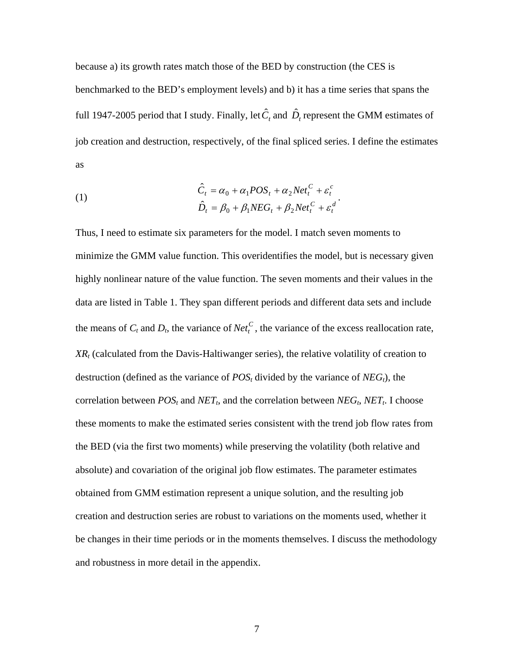because a) its growth rates match those of the BED by construction (the CES is benchmarked to the BED's employment levels) and b) it has a time series that spans the full 1947-2005 period that I study. Finally, let  $\hat{C}_t$  and  $\hat{D}_t$  represent the GMM estimates of job creation and destruction, respectively, of the final spliced series. I define the estimates as

(1)  
\n
$$
\hat{C}_t = \alpha_0 + \alpha_1 POS_t + \alpha_2Net_t^C + \varepsilon_t^c
$$
\n
$$
\hat{D}_t = \beta_0 + \beta_1NEG_t + \beta_2Net_t^C + \varepsilon_t^d
$$

Thus, I need to estimate six parameters for the model. I match seven moments to minimize the GMM value function. This overidentifies the model, but is necessary given highly nonlinear nature of the value function. The seven moments and their values in the data are listed in Table 1. They span different periods and different data sets and include the means of  $C_t$  and  $D_t$ , the variance of  $Net_t^C$ , the variance of the excess reallocation rate, *XR <sup>t</sup>* (calculated from the Davis-Haltiwanger series), the relative volatility of creation to destruction (defined as the variance of  $POS<sub>t</sub>$  divided by the variance of  $NEG<sub>t</sub>$ ), the correlation between  $POS<sub>t</sub>$  and  $NET<sub>t</sub>$ , and the correlation between  $NEG<sub>t</sub>$ ,  $NET<sub>t</sub>$ . I choose these moments to make the estimated series consistent with the trend job flow rates from the BED (via the first two moments) while preserving the volatility (both relative and absolute) and covariation of the original job flow estimates. The parameter estimates obtained from GMM estimation represent a unique solution, and the resulting job creation and destruction series are robust to variations on the moments used, whether it be changes in their time periods or in the moments themselves. I discuss the methodology and robustness in more detail in the appendix.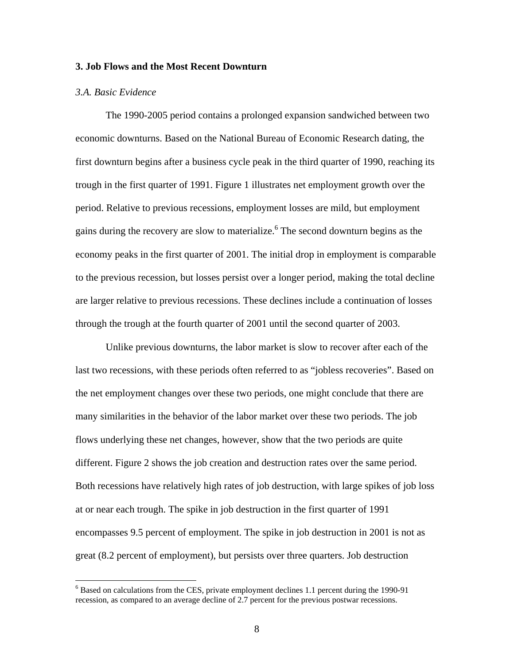### **3. Job Flows and the Most Recent Downturn**

## *3.A. Basic Evidence*

The 1990-2005 period contains a prolonged expansion sandwiched between two economic downturns. Based on the National Bureau of Economic Research dating, the first downturn begins after a business cycle peak in the third quarter of 1990, reaching its trough in the first quarter of 1991. Figure 1 illustrates net employment growth over the period. Relative to previous recessions, employment losses are mild, but employment gains during the recovery are slow to materialize.<sup>6</sup> The second downturn begins as the economy peaks in the first quarter of 2001. The initial drop in employment is comparable to the previous recession, but losses persist over a longer period, making the total decline are larger relative to previous recessions. These declines include a continuation of losses through the trough at the fourth quarter of 2001 until the second quarter of 2003.

Unlike previous downturns, the labor market is slow to recover after each of the last two recessions, with these periods often referred to as "jobless recoveries". Based on the net employment changes over these two periods, one might conclude that there are many similarities in the behavior of the labor market over these two periods. The job flows underlying these net changes, however, show that the two periods are quite different. Figure 2 shows the job creation and destruction rates over the same period. Both recessions have relatively high rates of job destruction, with large spikes of job loss at or near each trough. The spike in job destruction in the first quarter of 1991 encompasses 9.5 percent of employment. The spike in job destruction in 2001 is not as great (8.2 percent of employment), but persists over three quarters. Job destruction

<span id="page-9-0"></span> $\frac{1}{6}$  $6$  Based on calculations from the CES, private employment declines 1.1 percent during the 1990-91 recession, as compared to an average decline of 2.7 percent for the previous postwar recessions.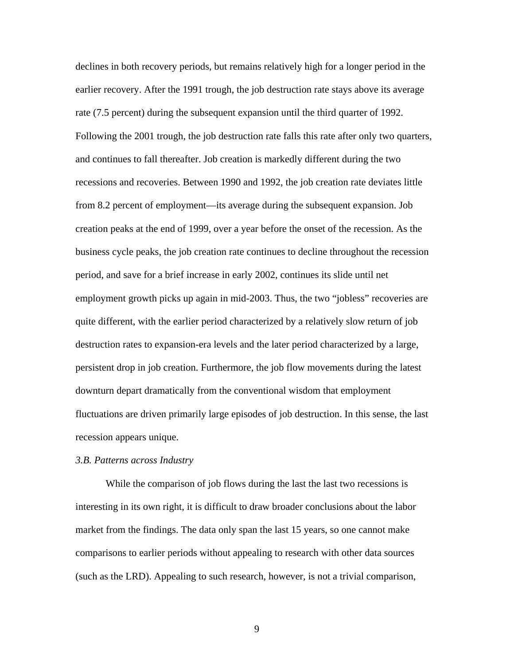declines in both recovery periods, but remains relatively high for a longer period in the earlier recovery. After the 1991 trough, the job destruction rate stays above its average rate (7.5 percent) during the subsequent expansion until the third quarter of 1992. Following the 2001 trough, the job destruction rate falls this rate after only two quarters, and continues to fall thereafter. Job creation is markedly different during the two recessions and recoveries. Between 1990 and 1992, the job creation rate deviates little from 8.2 percent of employment—its average during the subsequent expansion. Job creation peaks at the end of 1999, over a year before the onset of the recession. As the business cycle peaks, the job creation rate continues to decline throughout the recession period, and save for a brief increase in early 2002, continues its slide until net employment growth picks up again in mid-2003. Thus, the two "jobless" recoveries are quite different, with the earlier period characterized by a relatively slow return of job destruction rates to expansion-era levels and the later period characterized by a large, persistent drop in job creation. Furthermore, the job flow movements during the latest downturn depart dramatically from the conventional wisdom that employment fluctuations are driven primarily large episodes of job destruction. In this sense, the last recession appears unique.

#### *3.B. Patterns across Industry*

While the comparison of job flows during the last the last two recessions is interesting in its own right, it is difficult to draw broader conclusions about the labor market from the findings. The data only span the last 15 years, so one cannot make comparisons to earlier periods without appealing to research with other data sources (such as the LRD). Appealing to such research, however, is not a trivial comparison,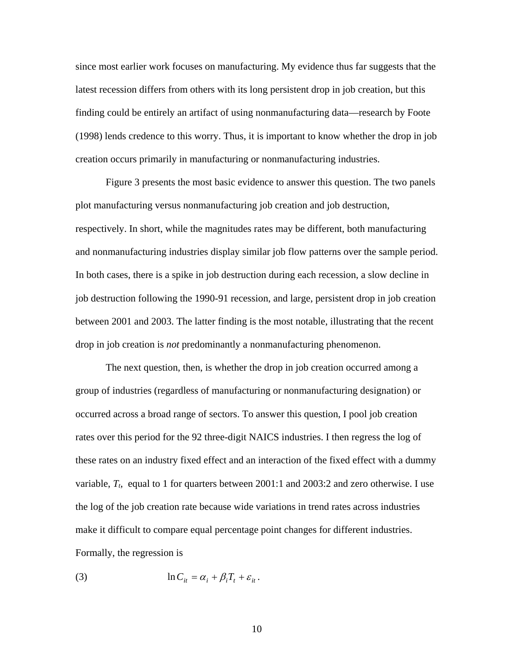since most earlier work focuses on manufacturing. My evidence thus far suggests that the latest recession differs from others with its long persistent drop in job creation, but this finding could be entirely an artifact of using nonmanufacturing data—research by Foote (1998) lends credence to this worry. Thus, it is important to know whether the drop in job creation occurs primarily in manufacturing or nonmanufacturing industries.

Figure 3 presents the most basic evidence to answer this question. The two panels plot manufacturing versus nonmanufacturing job creation and job destruction, respectively. In short, while the magnitudes rates may be different, both manufacturing and nonmanufacturing industries display similar job flow patterns over the sample period. In both cases, there is a spike in job destruction during each recession, a slow decline in job destruction following the 1990-91 recession, and large, persistent drop in job creation between 2001 and 2003. The latter finding is the most notable, illustrating that the recent drop in job creation is *not* predominantly a nonmanufacturing phenomenon.

The next question, then, is whether the drop in job creation occurred among a group of industries (regardless of manufacturing or nonmanufacturing designation) or occurred across a broad range of sectors. To answer this question, I pool job creation rates over this period for the 92 three-digit NAICS industries. I then regress the log of these rates on an industry fixed effect and an interaction of the fixed effect with a dummy variable, *Tt*, equal to 1 for quarters between 2001:1 and 2003:2 and zero otherwise. I use the log of the job creation rate because wide variations in trend rates across industries make it difficult to compare equal percentage point changes for different industries. Formally, the regression is

(3) 
$$
\ln C_{it} = \alpha_i + \beta_i T_t + \varepsilon_{it}.
$$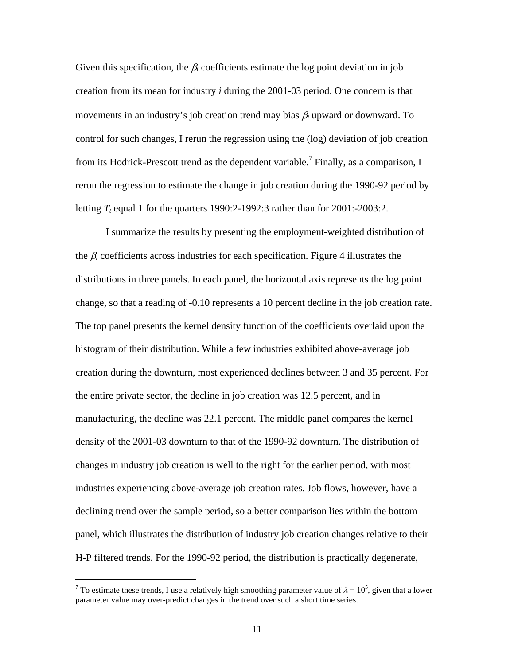Given this specification, the  $\beta_i$  coefficients estimate the log point deviation in job creation from its mean for industry *i* during the 2001-03 period. One concern is that movements in an industry's job creation trend may bias β*i* upward or downward. To control for such changes, I rerun the regression using the (log) deviation of job creation from its Hodrick-Prescott trend as the dependent variable.<sup>[7](#page-12-0)</sup> Finally, as a comparison, I rerun the regression to estimate the change in job creation during the 1990-92 period by letting  $T_t$  equal 1 for the quarters 1990:2-1992:3 rather than for  $2001$ :-2003:2.

I summarize the results by presenting the employment-weighted distribution of the  $\beta_i$  coefficients across industries for each specification. Figure 4 illustrates the distributions in three panels. In each panel, the horizontal axis represents the log point change, so that a reading of -0.10 represents a 10 percent decline in the job creation rate. The top panel presents the kernel density function of the coefficients overlaid upon the histogram of their distribution. While a few industries exhibited above-average job creation during the downturn, most experienced declines between 3 and 35 percent. For the entire private sector, the decline in job creation was 12.5 percent, and in manufacturing, the decline was 22.1 percent. The middle panel compares the kernel density of the 2001-03 downturn to that of the 1990-92 downturn. The distribution of changes in industry job creation is well to the right for the earlier period, with most industries experiencing above-average job creation rates. Job flows, however, have a declining trend over the sample period, so a better comparison lies within the bottom panel, which illustrates the distribution of industry job creation changes relative to their H-P filtered trends. For the 1990-92 period, the distribution is practically degenerate,

<span id="page-12-0"></span> $\frac{1}{7}$ To estimate these trends, I use a relatively high smoothing parameter value of  $\lambda = 10^5$ , given that a lower parameter value may over-predict changes in the trend over such a short time series.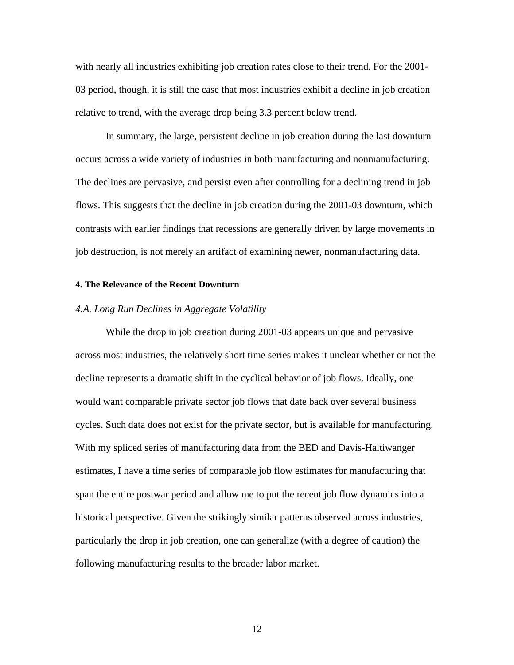with nearly all industries exhibiting job creation rates close to their trend. For the 2001- 03 period, though, it is still the case that most industries exhibit a decline in job creation relative to trend, with the average drop being 3.3 percent below trend.

In summary, the large, persistent decline in job creation during the last downturn occurs across a wide variety of industries in both manufacturing and nonmanufacturing. The declines are pervasive, and persist even after controlling for a declining trend in job flows. This suggests that the decline in job creation during the 2001-03 downturn, which contrasts with earlier findings that recessions are generally driven by large movements in job destruction, is not merely an artifact of examining newer, nonmanufacturing data.

#### **4. The Relevance of the Recent Downturn**

### *4.A. Long Run Declines in Aggregate Volatility*

While the drop in job creation during 2001-03 appears unique and pervasive across most industries, the relatively short time series makes it unclear whether or not the decline represents a dramatic shift in the cyclical behavior of job flows. Ideally, one would want comparable private sector job flows that date back over several business cycles. Such data does not exist for the private sector, but is available for manufacturing. With my spliced series of manufacturing data from the BED and Davis-Haltiwanger estimates, I have a time series of comparable job flow estimates for manufacturing that span the entire postwar period and allow me to put the recent job flow dynamics into a historical perspective. Given the strikingly similar patterns observed across industries, particularly the drop in job creation, one can generalize (with a degree of caution) the following manufacturing results to the broader labor market.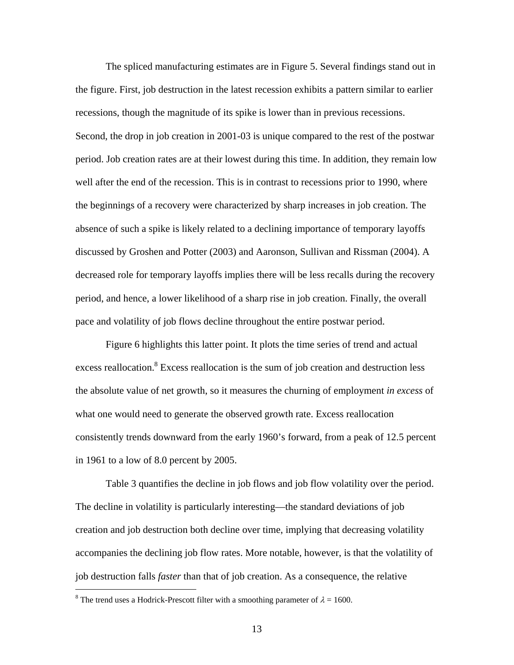The spliced manufacturing estimates are in Figure 5. Several findings stand out in the figure. First, job destruction in the latest recession exhibits a pattern similar to earlier recessions, though the magnitude of its spike is lower than in previous recessions. Second, the drop in job creation in 2001-03 is unique compared to the rest of the postwar period. Job creation rates are at their lowest during this time. In addition, they remain low well after the end of the recession. This is in contrast to recessions prior to 1990, where the beginnings of a recovery were characterized by sharp increases in job creation. The absence of such a spike is likely related to a declining importance of temporary layoffs discussed by Groshen and Potter (2003) and Aaronson, Sullivan and Rissman (2004). A decreased role for temporary layoffs implies there will be less recalls during the recovery period, and hence, a lower likelihood of a sharp rise in job creation. Finally, the overall pace and volatility of job flows decline throughout the entire postwar period.

Figure 6 highlights this latter point. It plots the time series of trend and actual excess reallocation.<sup>8</sup> Excess reallocation is the sum of job creation and destruction less the absolute value of net growth, so it measures the churning of employment *in excess* of what one would need to generate the observed growth rate. Excess reallocation consistently trends downward from the early 1960's forward, from a peak of 12.5 percent in 1961 to a low of 8.0 percent by 2005.

Table 3 quantifies the decline in job flows and job flow volatility over the period. The decline in volatility is particularly interesting—the standard deviations of job creation and job destruction both decline over time, implying that decreasing volatility accompanies the declining job flow rates. More notable, however, is that the volatility of job destruction falls *faster* than that of job creation. As a consequence, the relative

<span id="page-14-0"></span> $\frac{1}{8}$ <sup>8</sup> The trend uses a Hodrick-Prescott filter with a smoothing parameter of  $\lambda = 1600$ .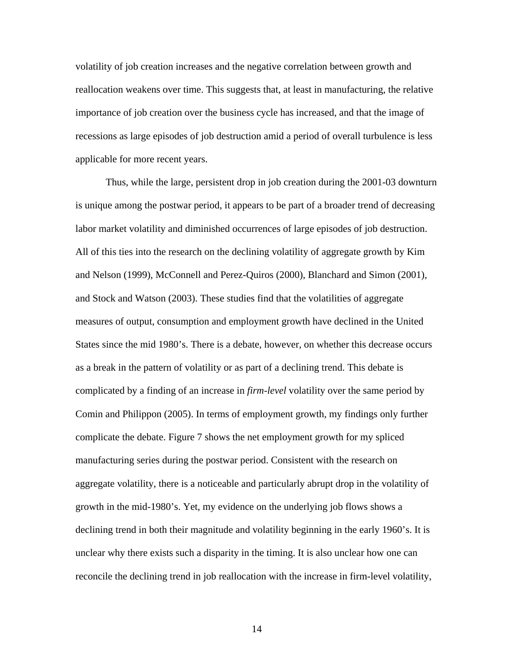volatility of job creation increases and the negative correlation between growth and reallocation weakens over time. This suggests that, at least in manufacturing, the relative importance of job creation over the business cycle has increased, and that the image of recessions as large episodes of job destruction amid a period of overall turbulence is less applicable for more recent years.

Thus, while the large, persistent drop in job creation during the 2001-03 downturn is unique among the postwar period, it appears to be part of a broader trend of decreasing labor market volatility and diminished occurrences of large episodes of job destruction. All of this ties into the research on the declining volatility of aggregate growth by Kim and Nelson (1999), McConnell and Perez-Quiros (2000), Blanchard and Simon (2001), and Stock and Watson (2003). These studies find that the volatilities of aggregate measures of output, consumption and employment growth have declined in the United States since the mid 1980's. There is a debate, however, on whether this decrease occurs as a break in the pattern of volatility or as part of a declining trend. This debate is complicated by a finding of an increase in *firm-level* volatility over the same period by Comin and Philippon (2005). In terms of employment growth, my findings only further complicate the debate. Figure 7 shows the net employment growth for my spliced manufacturing series during the postwar period. Consistent with the research on aggregate volatility, there is a noticeable and particularly abrupt drop in the volatility of growth in the mid-1980's. Yet, my evidence on the underlying job flows shows a declining trend in both their magnitude and volatility beginning in the early 1960's. It is unclear why there exists such a disparity in the timing. It is also unclear how one can reconcile the declining trend in job reallocation with the increase in firm-level volatility,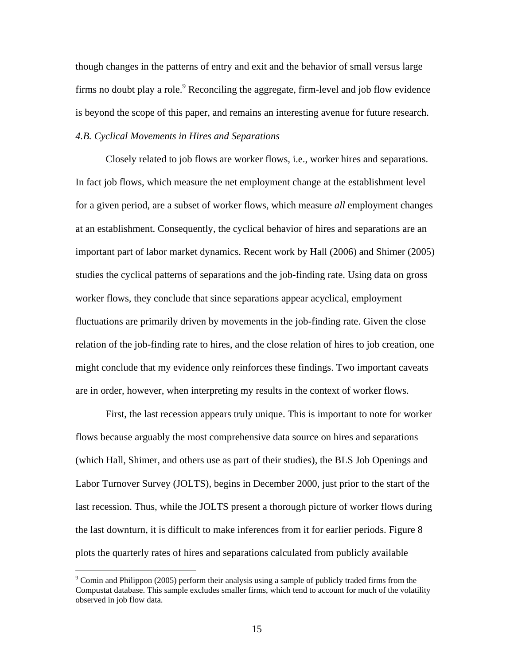though changes in the patterns of entry and exit and the behavior of small versus large firms no doubt play a role. $9$  Reconciling the aggregate, firm-level and job flow evidence is beyond the scope of this paper, and remains an interesting avenue for future research. *4.B. Cyclical Movements in Hires and Separations* 

Closely related to job flows are worker flows, i.e., worker hires and separations. In fact job flows, which measure the net employment change at the establishment level for a given period, are a subset of worker flows, which measure *all* employment changes at an establishment. Consequently, the cyclical behavior of hires and separations are an important part of labor market dynamics. Recent work by Hall (2006) and Shimer (2005) studies the cyclical patterns of separations and the job-finding rate. Using data on gross worker flows, they conclude that since separations appear acyclical, employment fluctuations are primarily driven by movements in the job-finding rate. Given the close relation of the job-finding rate to hires, and the close relation of hires to job creation, one might conclude that my evidence only reinforces these findings. Two important caveats are in order, however, when interpreting my results in the context of worker flows.

First, the last recession appears truly unique. This is important to note for worker flows because arguably the most comprehensive data source on hires and separations (which Hall, Shimer, and others use as part of their studies), the BLS Job Openings and Labor Turnover Survey (JOLTS), begins in December 2000, just prior to the start of the last recession. Thus, while the JOLTS present a thorough picture of worker flows during the last downturn, it is difficult to make inferences from it for earlier periods. Figure 8 plots the quarterly rates of hires and separations calculated from publicly available

<span id="page-16-0"></span><sup>-&</sup>lt;br>9  $\degree$  Comin and Philippon (2005) perform their analysis using a sample of publicly traded firms from the Compustat database. This sample excludes smaller firms, which tend to account for much of the volatility observed in job flow data.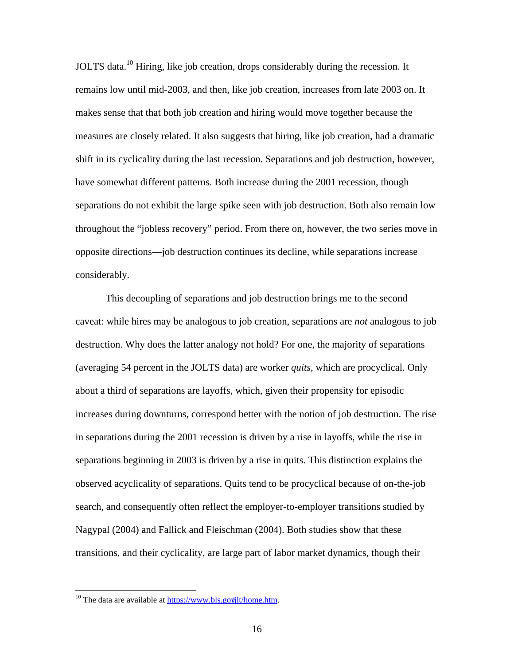JOLTS data.[10 H](#page-17-0)iring, like job creation, drops considerably during the recession. It remains low until mid-2003, and then, like job creation, increases from late 2003 on. It makes sense that that both job creation and hiring would move together because the measures are closely related. It also suggests that hiring, like job creation, had a dramatic shift in its cyclicality during the last recession. Separations and job destruction, however, have somewhat different patterns. Both increase during the 2001 recession, though separations do not exhibit the large spike seen with job destruction. Both also remain low throughout the "jobless recovery" period. From there on, however, the two series move in opposite directions—job destruction continues its decline, while separations increase considerably.

This decoupling of separations and job destruction brings me to the second caveat: while hires may be analogous to job creation, separations are *not* analogous to job destruction. Why does the latter analogy not hold? For one, the majority of separations (averaging 54 percent in the JOLTS data) are worker *quits*, which are procyclical. Only about a third of separations are layoffs, which, given their propensity for episodic increases during downturns, correspond better with the notion of job destruction. The rise in separations during the 2001 recession is driven by a rise in layoffs, while the rise in separations beginning in 2003 is driven by a rise in quits. This distinction explains the observed acyclicality of separations. Quits tend to be procyclical because of on-the-job search, and consequently often reflect the employer-to-employer transitions studied by Nagypal (2004) and Fallick and Fleischman (2004). Both studies show that these transitions, and their cyclicality, are large part of labor market dynamics, though their

<span id="page-17-0"></span> $10$  The data are available at  $\frac{https://www.bls.gov/jlt/home.htm}{https://www.bls.gov/jlt/home.htm}.$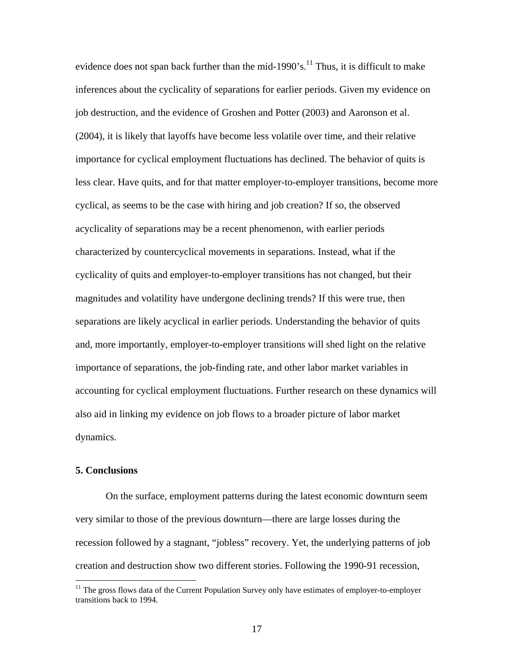evidence does not span back further than the mid-1990's.<sup>11</sup> Thus, it is difficult to make inferences about the cyclicality of separations for earlier periods. Given my evidence on job destruction, and the evidence of Groshen and Potter (2003) and Aaronson et al. (2004), it is likely that layoffs have become less volatile over time, and their relative importance for cyclical employment fluctuations has declined. The behavior of quits is less clear. Have quits, and for that matter employer-to-employer transitions, become more cyclical, as seems to be the case with hiring and job creation? If so, the observed acyclicality of separations may be a recent phenomenon, with earlier periods characterized by countercyclical movements in separations. Instead, what if the cyclicality of quits and employer-to-employer transitions has not changed, but their magnitudes and volatility have undergone declining trends? If this were true, then separations are likely acyclical in earlier periods. Understanding the behavior of quits and, more importantly, employer-to-employer transitions will shed light on the relative importance of separations, the job-finding rate, and other labor market variables in accounting for cyclical employment fluctuations. Further research on these dynamics will also aid in linking my evidence on job flows to a broader picture of labor market dynamics.

## **5. Conclusions**

On the surface, employment patterns during the latest economic downturn seem very similar to those of the previous downturn—there are large losses during the recession followed by a stagnant, "jobless" recovery. Yet, the underlying patterns of job creation and destruction show two different stories. Following the 1990-91 recession,

<span id="page-18-0"></span><sup>&</sup>lt;sup>11</sup> The gross flows data of the Current Population Survey only have estimates of employer-to-employer transitions back to 1994.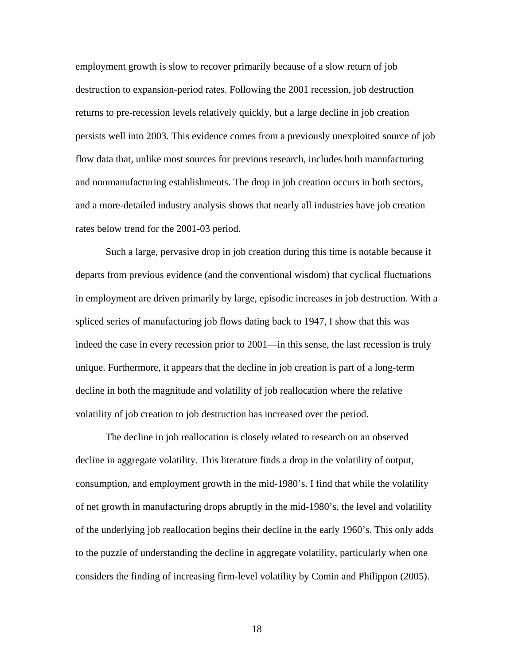employment growth is slow to recover primarily because of a slow return of job destruction to expansion-period rates. Following the 2001 recession, job destruction returns to pre-recession levels relatively quickly, but a large decline in job creation persists well into 2003. This evidence comes from a previously unexploited source of job flow data that, unlike most sources for previous research, includes both manufacturing and nonmanufacturing establishments. The drop in job creation occurs in both sectors, and a more-detailed industry analysis shows that nearly all industries have job creation rates below trend for the 2001-03 period.

Such a large, pervasive drop in job creation during this time is notable because it departs from previous evidence (and the conventional wisdom) that cyclical fluctuations in employment are driven primarily by large, episodic increases in job destruction. With a spliced series of manufacturing job flows dating back to 1947, I show that this was indeed the case in every recession prior to 2001—in this sense, the last recession is truly unique. Furthermore, it appears that the decline in job creation is part of a long-term decline in both the magnitude and volatility of job reallocation where the relative volatility of job creation to job destruction has increased over the period.

The decline in job reallocation is closely related to research on an observed decline in aggregate volatility. This literature finds a drop in the volatility of output, consumption, and employment growth in the mid-1980's. I find that while the volatility of net growth in manufacturing drops abruptly in the mid-1980's, the level and volatility of the underlying job reallocation begins their decline in the early 1960's. This only adds to the puzzle of understanding the decline in aggregate volatility, particularly when one considers the finding of increasing firm-level volatility by Comin and Philippon (2005).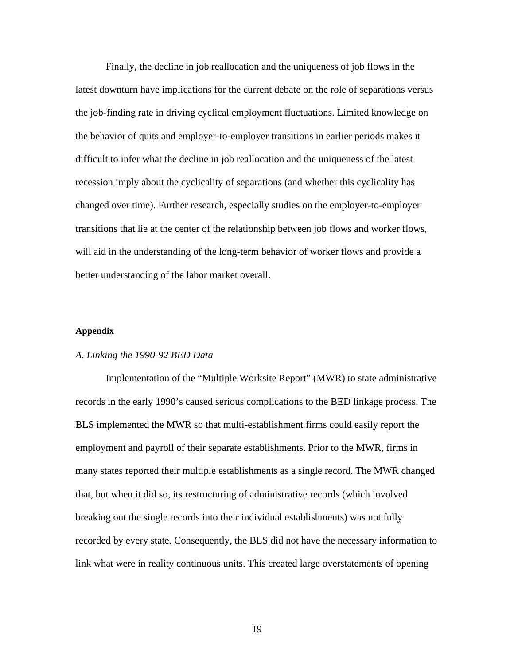Finally, the decline in job reallocation and the uniqueness of job flows in the latest downturn have implications for the current debate on the role of separations versus the job-finding rate in driving cyclical employment fluctuations. Limited knowledge on the behavior of quits and employer-to-employer transitions in earlier periods makes it difficult to infer what the decline in job reallocation and the uniqueness of the latest recession imply about the cyclicality of separations (and whether this cyclicality has changed over time). Further research, especially studies on the employer-to-employer transitions that lie at the center of the relationship between job flows and worker flows, will aid in the understanding of the long-term behavior of worker flows and provide a better understanding of the labor market overall.

#### **Appendix**

#### *A. Linking the 1990-92 BED Data*

Implementation of the "Multiple Worksite Report" (MWR) to state administrative records in the early 1990's caused serious complications to the BED linkage process. The BLS implemented the MWR so that multi-establishment firms could easily report the employment and payroll of their separate establishments. Prior to the MWR, firms in many states reported their multiple establishments as a single record. The MWR changed that, but when it did so, its restructuring of administrative records (which involved breaking out the single records into their individual establishments) was not fully recorded by every state. Consequently, the BLS did not have the necessary information to link what were in reality continuous units. This created large overstatements of opening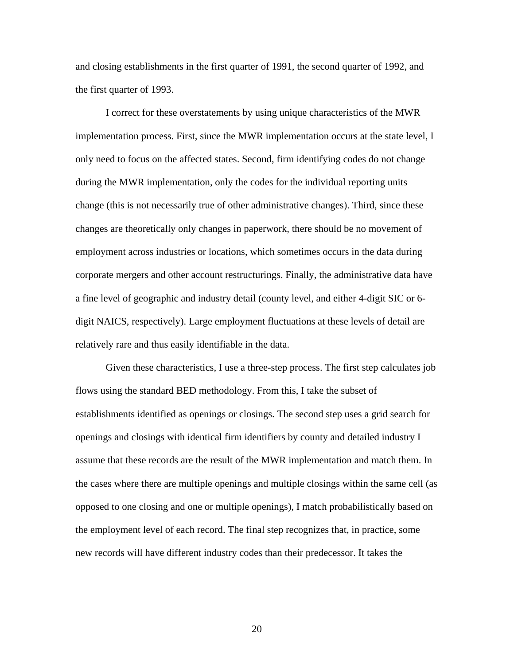and closing establishments in the first quarter of 1991, the second quarter of 1992, and the first quarter of 1993.

I correct for these overstatements by using unique characteristics of the MWR implementation process. First, since the MWR implementation occurs at the state level, I only need to focus on the affected states. Second, firm identifying codes do not change during the MWR implementation, only the codes for the individual reporting units change (this is not necessarily true of other administrative changes). Third, since these changes are theoretically only changes in paperwork, there should be no movement of employment across industries or locations, which sometimes occurs in the data during corporate mergers and other account restructurings. Finally, the administrative data have a fine level of geographic and industry detail (county level, and either 4-digit SIC or 6 digit NAICS, respectively). Large employment fluctuations at these levels of detail are relatively rare and thus easily identifiable in the data.

Given these characteristics, I use a three-step process. The first step calculates job flows using the standard BED methodology. From this, I take the subset of establishments identified as openings or closings. The second step uses a grid search for openings and closings with identical firm identifiers by county and detailed industry I assume that these records are the result of the MWR implementation and match them. In the cases where there are multiple openings and multiple closings within the same cell (as opposed to one closing and one or multiple openings), I match probabilistically based on the employment level of each record. The final step recognizes that, in practice, some new records will have different industry codes than their predecessor. It takes the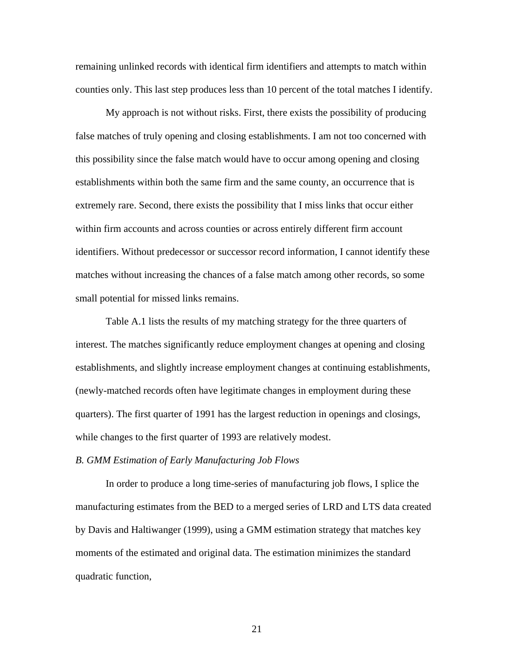remaining unlinked records with identical firm identifiers and attempts to match within counties only. This last step produces less than 10 percent of the total matches I identify.

My approach is not without risks. First, there exists the possibility of producing false matches of truly opening and closing establishments. I am not too concerned with this possibility since the false match would have to occur among opening and closing establishments within both the same firm and the same county, an occurrence that is extremely rare. Second, there exists the possibility that I miss links that occur either within firm accounts and across counties or across entirely different firm account identifiers. Without predecessor or successor record information, I cannot identify these matches without increasing the chances of a false match among other records, so some small potential for missed links remains.

Table A.1 lists the results of my matching strategy for the three quarters of interest. The matches significantly reduce employment changes at opening and closing establishments, and slightly increase employment changes at continuing establishments, (newly-matched records often have legitimate changes in employment during these quarters). The first quarter of 1991 has the largest reduction in openings and closings, while changes to the first quarter of 1993 are relatively modest.

#### *B. GMM Estimation of Early Manufacturing Job Flows*

In order to produce a long time-series of manufacturing job flows, I splice the manufacturing estimates from the BED to a merged series of LRD and LTS data created by Davis and Haltiwanger (1999), using a GMM estimation strategy that matches key moments of the estimated and original data. The estimation minimizes the standard quadratic function,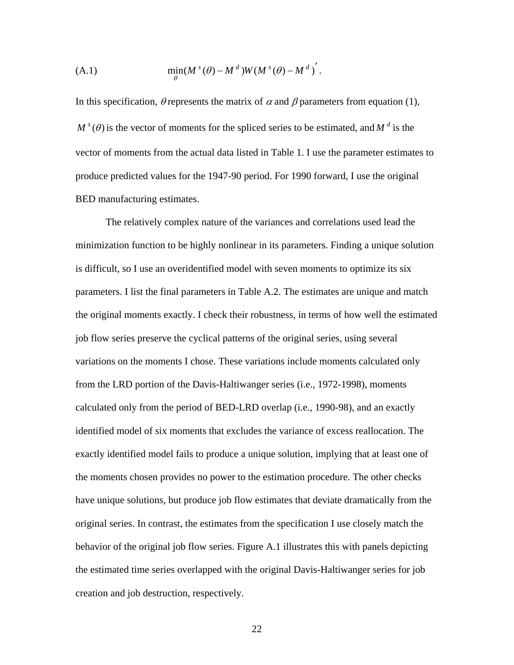(A.1) 
$$
\min_{\theta} (M^{s}(\theta) - M^{d}) W(M^{s}(\theta) - M^{d})'.
$$

In this specification,  $\theta$  represents the matrix of  $\alpha$  and  $\beta$  parameters from equation (1),  $M^{s}(\theta)$  is the vector of moments for the spliced series to be estimated, and  $M^{d}$  is the vector of moments from the actual data listed in Table 1. I use the parameter estimates to produce predicted values for the 1947-90 period. For 1990 forward, I use the original BED manufacturing estimates.

The relatively complex nature of the variances and correlations used lead the minimization function to be highly nonlinear in its parameters. Finding a unique solution is difficult, so I use an overidentified model with seven moments to optimize its six parameters. I list the final parameters in Table A.2. The estimates are unique and match the original moments exactly. I check their robustness, in terms of how well the estimated job flow series preserve the cyclical patterns of the original series, using several variations on the moments I chose. These variations include moments calculated only from the LRD portion of the Davis-Haltiwanger series (i.e., 1972-1998), moments calculated only from the period of BED-LRD overlap (i.e., 1990-98), and an exactly identified model of six moments that excludes the variance of excess reallocation. The exactly identified model fails to produce a unique solution, implying that at least one of the moments chosen provides no power to the estimation procedure. The other checks have unique solutions, but produce job flow estimates that deviate dramatically from the original series. In contrast, the estimates from the specification I use closely match the behavior of the original job flow series. Figure A.1 illustrates this with panels depicting the estimated time series overlapped with the original Davis-Haltiwanger series for job creation and job destruction, respectively.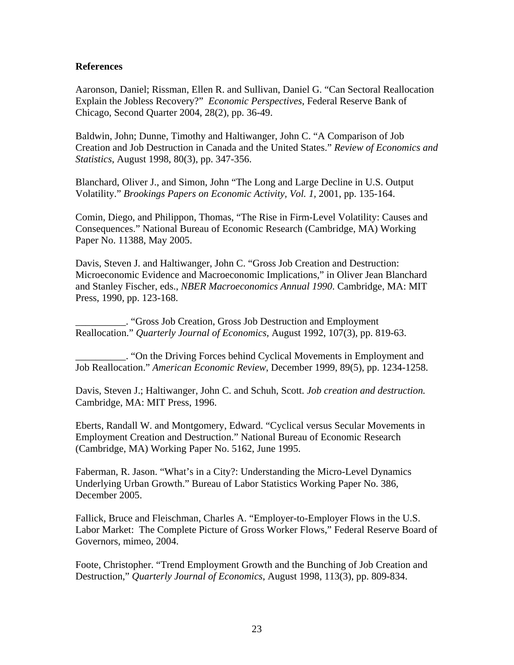## **References**

Aaronson, Daniel; Rissman, Ellen R. and Sullivan, Daniel G. "Can Sectoral Reallocation Explain the Jobless Recovery?" *Economic Perspectives*, Federal Reserve Bank of Chicago, Second Quarter 2004, 28(2), pp. 36-49.

Baldwin, John; Dunne, Timothy and Haltiwanger, John C. "A Comparison of Job Creation and Job Destruction in Canada and the United States." *Review of Economics and Statistics*, August 1998, 80(3), pp. 347-356.

Blanchard, Oliver J., and Simon, John "The Long and Large Decline in U.S. Output Volatility." *Brookings Papers on Economic Activity, Vol. 1,* 2001, pp. 135-164.

Comin, Diego, and Philippon, Thomas, "The Rise in Firm-Level Volatility: Causes and Consequences." National Bureau of Economic Research (Cambridge, MA) Working Paper No. 11388, May 2005.

Davis, Steven J. and Haltiwanger, John C. "Gross Job Creation and Destruction: Microeconomic Evidence and Macroeconomic Implications," in Oliver Jean Blanchard and Stanley Fischer, eds., *NBER Macroeconomics Annual 1990*. Cambridge, MA: MIT Press, 1990, pp. 123-168.

\_\_\_\_\_\_\_\_\_\_. "Gross Job Creation, Gross Job Destruction and Employment Reallocation." *Quarterly Journal of Economics*, August 1992, 107(3), pp. 819-63.

\_\_\_\_\_\_\_\_\_\_. "On the Driving Forces behind Cyclical Movements in Employment and Job Reallocation." *American Economic Review*, December 1999, 89(5), pp. 1234-1258.

Davis, Steven J.; Haltiwanger, John C. and Schuh, Scott. *Job creation and destruction.*  Cambridge, MA: MIT Press, 1996.

Eberts, Randall W. and Montgomery, Edward. "Cyclical versus Secular Movements in Employment Creation and Destruction." National Bureau of Economic Research (Cambridge, MA) Working Paper No. 5162, June 1995.

Faberman, R. Jason. "What's in a City?: Understanding the Micro-Level Dynamics Underlying Urban Growth." Bureau of Labor Statistics Working Paper No. 386, December 2005.

Fallick, Bruce and Fleischman, Charles A. "Employer-to-Employer Flows in the U.S. Labor Market: The Complete Picture of Gross Worker Flows," Federal Reserve Board of Governors, mimeo, 2004.

Foote, Christopher. "Trend Employment Growth and the Bunching of Job Creation and Destruction," *Quarterly Journal of Economics*, August 1998, 113(3), pp. 809-834.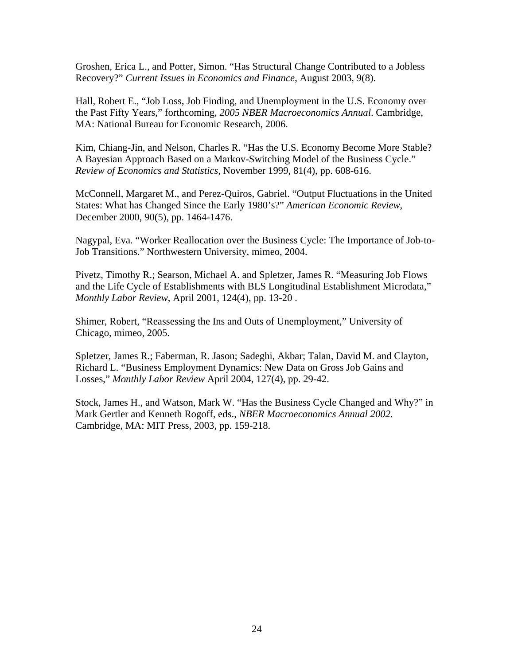Groshen, Erica L., and Potter, Simon. "Has Structural Change Contributed to a Jobless Recovery?" *Current Issues in Economics and Finance*, August 2003, 9(8).

Hall, Robert E., "Job Loss, Job Finding, and Unemployment in the U.S. Economy over the Past Fifty Years," forthcoming, *2005 NBER Macroeconomics Annual*. Cambridge, MA: National Bureau for Economic Research, 2006.

Kim, Chiang-Jin, and Nelson, Charles R. "Has the U.S. Economy Become More Stable? A Bayesian Approach Based on a Markov-Switching Model of the Business Cycle." *Review of Economics and Statistics,* November 1999, 81(4), pp. 608-616.

McConnell, Margaret M., and Perez-Quiros, Gabriel. "Output Fluctuations in the United States: What has Changed Since the Early 1980's?" *American Economic Review*, December 2000, 90(5), pp. 1464-1476.

Nagypal, Eva. "Worker Reallocation over the Business Cycle: The Importance of Job-to-Job Transitions." Northwestern University, mimeo, 2004.

Pivetz, Timothy R.; Searson, Michael A. and Spletzer, James R. "Measuring Job Flows and the Life Cycle of Establishments with BLS Longitudinal Establishment Microdata," *Monthly Labor Review*, April 2001, 124(4), pp. 13-20 .

Shimer, Robert, "Reassessing the Ins and Outs of Unemployment," University of Chicago, mimeo, 2005.

Spletzer, James R.; Faberman, R. Jason; Sadeghi, Akbar; Talan, David M. and Clayton, Richard L. "Business Employment Dynamics: New Data on Gross Job Gains and Losses," *Monthly Labor Review* April 2004, 127(4), pp. 29-42.

Stock, James H., and Watson, Mark W. "Has the Business Cycle Changed and Why?" in Mark Gertler and Kenneth Rogoff, eds., *NBER Macroeconomics Annual 2002*. Cambridge, MA: MIT Press, 2003, pp. 159-218.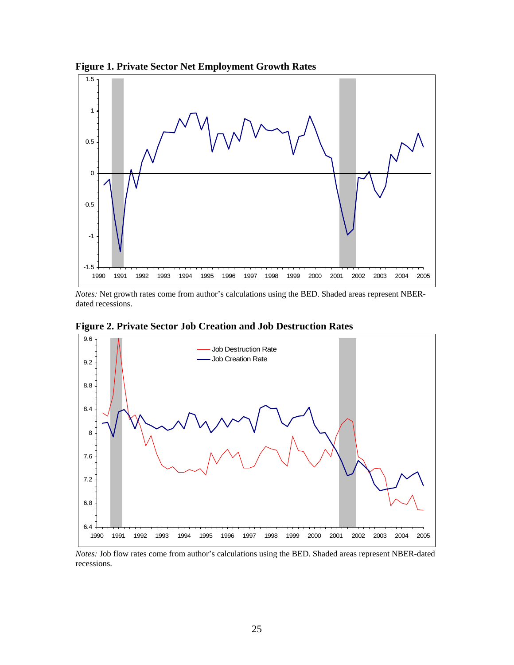

**Figure 1. Private Sector Net Employment Growth Rates** 

*Notes:* Net growth rates come from author's calculations using the BED. Shaded areas represent NBERdated recessions.





*Notes:* Job flow rates come from author's calculations using the BED. Shaded areas represent NBER-dated recessions.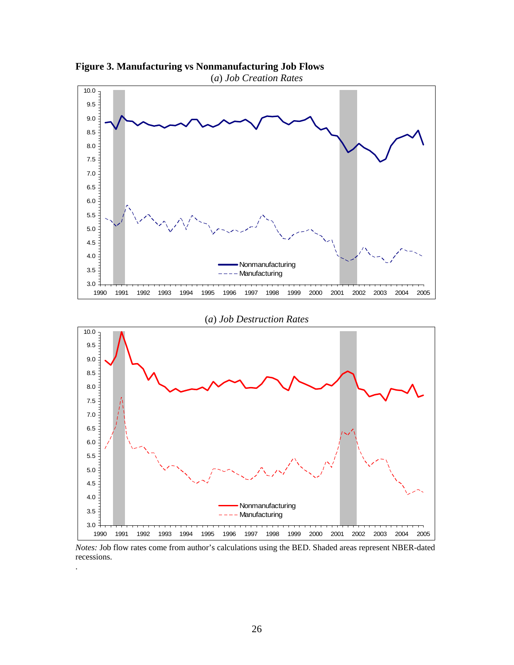

**Figure 3. Manufacturing vs Nonmanufacturing Job Flows** 

*Notes:* Job flow rates come from author's calculations using the BED. Shaded areas represent NBER-dated recessions.

.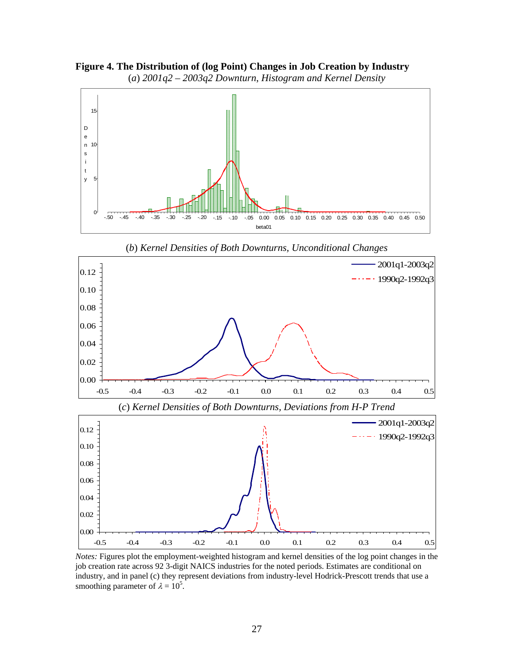**Figure 4. The Distribution of (log Point) Changes in Job Creation by Industry** (*a*) *2001q2 – 2003q2 Downturn*, *Histogram and Kernel Density*



(*b*) *Kernel Densities of Both Downturns, Unconditional Changes*



*Notes:* Figures plot the employment-weighted histogram and kernel densities of the log point changes in the job creation rate across 92 3-digit NAICS industries for the noted periods. Estimates are conditional on industry, and in panel (c) they represent deviations from industry-level Hodrick-Prescott trends that use a smoothing parameter of  $\lambda = 10^5$ .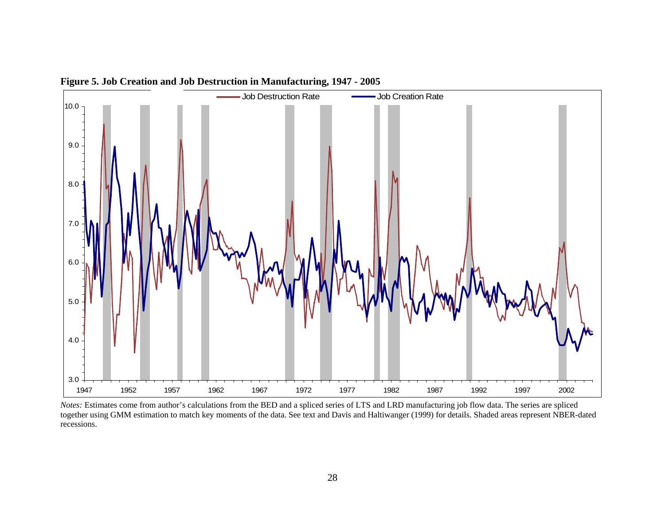

**Figure 5. Job Creation and Job Destruction in Manufacturing, 1947 - 2005** 

*Notes:* Estimates come from author's calculations from the BED and a spliced series of LTS and LRD manufacturing job flow data. The series are spliced together using GMM estimation to match key moments of the data. See text and Davis and Haltiwanger (1999) for details. Shaded areas represent NBER-dated recessions.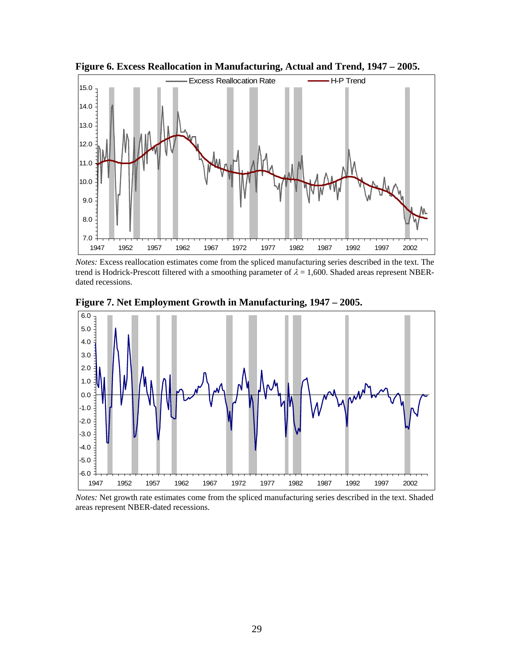

**Figure 6. Excess Reallocation in Manufacturing, Actual and Trend, 1947 – 2005.** 

*Notes:* Excess reallocation estimates come from the spliced manufacturing series described in the text. The trend is Hodrick-Prescott filtered with a smoothing parameter of  $\lambda = 1,600$ . Shaded areas represent NBERdated recessions.



**Figure 7. Net Employment Growth in Manufacturing, 1947 – 2005.** 

*Notes:* Net growth rate estimates come from the spliced manufacturing series described in the text. Shaded areas represent NBER-dated recessions.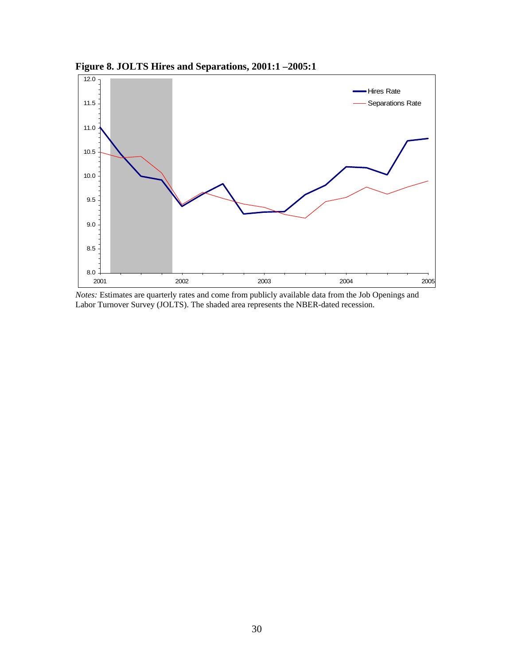

**Figure 8. JOLTS Hires and Separations, 2001:1 –2005:1** 

*Notes:* Estimates are quarterly rates and come from publicly available data from the Job Openings and Labor Turnover Survey (JOLTS). The shaded area represents the NBER-dated recession.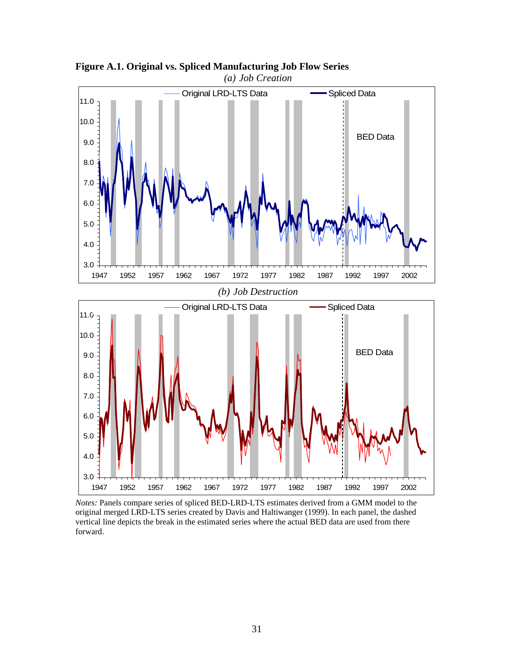

**Figure A.1. Original vs. Spliced Manufacturing Job Flow Series**  *(a) Job Creation* 

*Notes:* Panels compare series of spliced BED-LRD-LTS estimates derived from a GMM model to the original merged LRD-LTS series created by Davis and Haltiwanger (1999). In each panel, the dashed vertical line depicts the break in the estimated series where the actual BED data are used from there forward.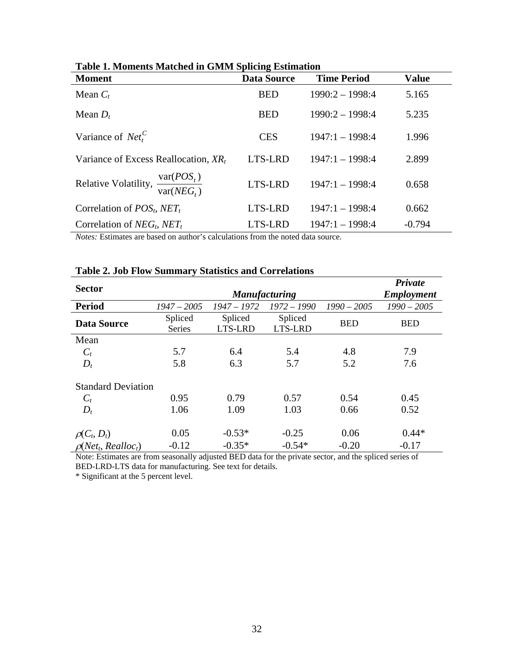| Table 1. Monichts Matched in Official Spitcing Estimation          |                    |                    |              |  |  |
|--------------------------------------------------------------------|--------------------|--------------------|--------------|--|--|
| <b>Moment</b>                                                      | <b>Data Source</b> | <b>Time Period</b> | <b>Value</b> |  |  |
| Mean $C_t$                                                         | <b>BED</b>         | $1990:2 - 1998:4$  | 5.165        |  |  |
| Mean $D_t$                                                         | <b>BED</b>         | $1990:2 - 1998:4$  | 5.235        |  |  |
| Variance of $Net_t^C$                                              | <b>CES</b>         | $1947:1 - 1998:4$  | 1.996        |  |  |
| Variance of Excess Reallocation, $XR_t$                            | LTS-LRD            | $1947:1 - 1998:4$  | 2.899        |  |  |
| Relative Volatility, $\frac{\text{var}(POS_t)}{\text{var}(NEG_t)}$ | LTS-LRD            | $1947:1 - 1998:4$  | 0.658        |  |  |
| Correlation of $POSt$ , NET <sub>t</sub>                           | LTS-LRD            | $1947:1 - 1998:4$  | 0.662        |  |  |
| Correlation of $NEG_{t}$ , $NET_{t}$                               | LTS-LRD            | $1947:1 - 1998:4$  | $-0.794$     |  |  |

*Notes:* Estimates are based on author's calculations from the noted data source.

|                           |                      |               |               |               | Private           |
|---------------------------|----------------------|---------------|---------------|---------------|-------------------|
| <b>Sector</b>             | <b>Manufacturing</b> |               |               |               | <b>Employment</b> |
| <b>Period</b>             | $1947 - 2005$        | $1947 - 1972$ | $1972 - 1990$ | $1990 - 2005$ | $1990 - 2005$     |
| <b>Data Source</b>        | Spliced              | Spliced       | Spliced       | <b>BED</b>    | <b>BED</b>        |
|                           | Series               | LTS-LRD       | LTS-LRD       |               |                   |
| Mean                      |                      |               |               |               |                   |
| $C_t$                     | 5.7                  | 6.4           | 5.4           | 4.8           | 7.9               |
| $D_t$                     | 5.8                  | 6.3           | 5.7           | 5.2           | 7.6               |
| <b>Standard Deviation</b> |                      |               |               |               |                   |
| $C_t$                     | 0.95                 | 0.79          | 0.57          | 0.54          | 0.45              |
| $D_t$                     | 1.06                 | 1.09          | 1.03          | 0.66          | 0.52              |
| $\rho(C_t, D_t)$          | 0.05                 | $-0.53*$      | $-0.25$       | 0.06          | $0.44*$           |
| $\rho(Net_t, Realloc_t)$  | $-0.12$              | $-0.35*$      | $-0.54*$      | $-0.20$       | $-0.17$           |

# **Table 2. Job Flow Summary Statistics and Correlations**

Note: Estimates are from seasonally adjusted BED data for the private sector, and the spliced series of BED-LRD-LTS data for manufacturing. See text for details.

\* Significant at the 5 percent level.